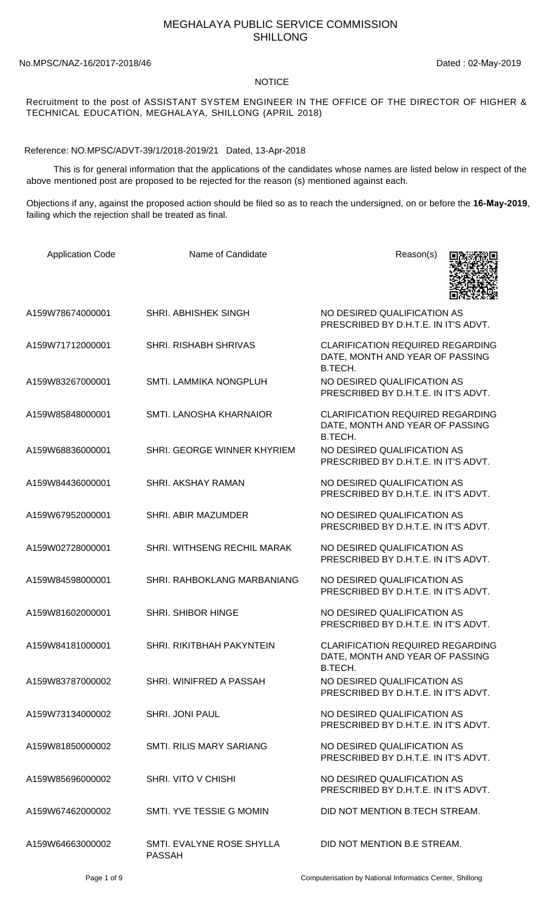## MEGHALAYA PUBLIC SERVICE COMMISSION SHILLONG

No.MPSC/NAZ-16/2017-2018/46 Dated : 02-May-2019

## NOTICE

## Recruitment to the post of ASSISTANT SYSTEM ENGINEER IN THE OFFICE OF THE DIRECTOR OF HIGHER & TECHNICAL EDUCATION, MEGHALAYA, SHILLONG (APRIL 2018)

Reference: NO.MPSC/ADVT-39/1/2018-2019/21 Dated, 13-Apr-2018

 This is for general information that the applications of the candidates whose names are listed below in respect of the above mentioned post are proposed to be rejected for the reason (s) mentioned against each.

Objections if any, against the proposed action should be filed so as to reach the undersigned, on or before the **16-May-2019**, failing which the rejection shall be treated as final.

| <b>Application Code</b> | Name of Candidate                          | Reason(s)                                                                             |
|-------------------------|--------------------------------------------|---------------------------------------------------------------------------------------|
| A159W78674000001        | SHRI. ABHISHEK SINGH                       | NO DESIRED QUALIFICATION AS<br>PRESCRIBED BY D.H.T.E. IN IT'S ADVT.                   |
| A159W71712000001        | <b>SHRI. RISHABH SHRIVAS</b>               | <b>CLARIFICATION REQUIRED REGARDING</b><br>DATE, MONTH AND YEAR OF PASSING<br>B.TECH. |
| A159W83267000001        | SMTI. LAMMIKA NONGPLUH                     | NO DESIRED QUALIFICATION AS<br>PRESCRIBED BY D.H.T.E. IN IT'S ADVT.                   |
| A159W85848000001        | SMTI. LANOSHA KHARNAIOR                    | <b>CLARIFICATION REQUIRED REGARDING</b><br>DATE, MONTH AND YEAR OF PASSING<br>B.TECH. |
| A159W68836000001        | SHRI. GEORGE WINNER KHYRIEM                | NO DESIRED QUALIFICATION AS<br>PRESCRIBED BY D.H.T.E. IN IT'S ADVT.                   |
| A159W84436000001        | <b>SHRI. AKSHAY RAMAN</b>                  | NO DESIRED QUALIFICATION AS<br>PRESCRIBED BY D.H.T.E. IN IT'S ADVT.                   |
| A159W67952000001        | SHRI. ABIR MAZUMDER                        | NO DESIRED QUALIFICATION AS<br>PRESCRIBED BY D.H.T.E. IN IT'S ADVT.                   |
| A159W02728000001        | SHRI. WITHSENG RECHIL MARAK                | NO DESIRED QUALIFICATION AS<br>PRESCRIBED BY D.H.T.E. IN IT'S ADVT.                   |
| A159W84598000001        | SHRI. RAHBOKLANG MARBANIANG                | NO DESIRED QUALIFICATION AS<br>PRESCRIBED BY D.H.T.E. IN IT'S ADVT.                   |
| A159W81602000001        | <b>SHRI. SHIBOR HINGE</b>                  | NO DESIRED QUALIFICATION AS<br>PRESCRIBED BY D.H.T.E. IN IT'S ADVT.                   |
| A159W84181000001        | SHRI. RIKITBHAH PAKYNTEIN                  | <b>CLARIFICATION REQUIRED REGARDING</b><br>DATE, MONTH AND YEAR OF PASSING<br>B.TECH. |
| A159W83787000002        | SHRI. WINIFRED A PASSAH                    | NO DESIRED QUALIFICATION AS<br>PRESCRIBED BY D.H.T.E. IN IT'S ADVT.                   |
| A159W73134000002        | <b>SHRI. JONI PAUL</b>                     | NO DESIRED QUALIFICATION AS<br>PRESCRIBED BY D.H.T.E. IN IT'S ADVT.                   |
| A159W81850000002        | <b>SMTI. RILIS MARY SARIANG</b>            | NO DESIRED QUALIFICATION AS<br>PRESCRIBED BY D.H.T.E. IN IT'S ADVT.                   |
| A159W85696000002        | SHRI. VITO V CHISHI                        | NO DESIRED QUALIFICATION AS<br>PRESCRIBED BY D.H.T.E. IN IT'S ADVT.                   |
| A159W67462000002        | SMTI. YVE TESSIE G MOMIN                   | DID NOT MENTION B.TECH STREAM.                                                        |
| A159W64663000002        | SMTI. EVALYNE ROSE SHYLLA<br><b>PASSAH</b> | DID NOT MENTION B.E STREAM.                                                           |

Page 1 of 9 Computerisation by National Informatics Center, Shillong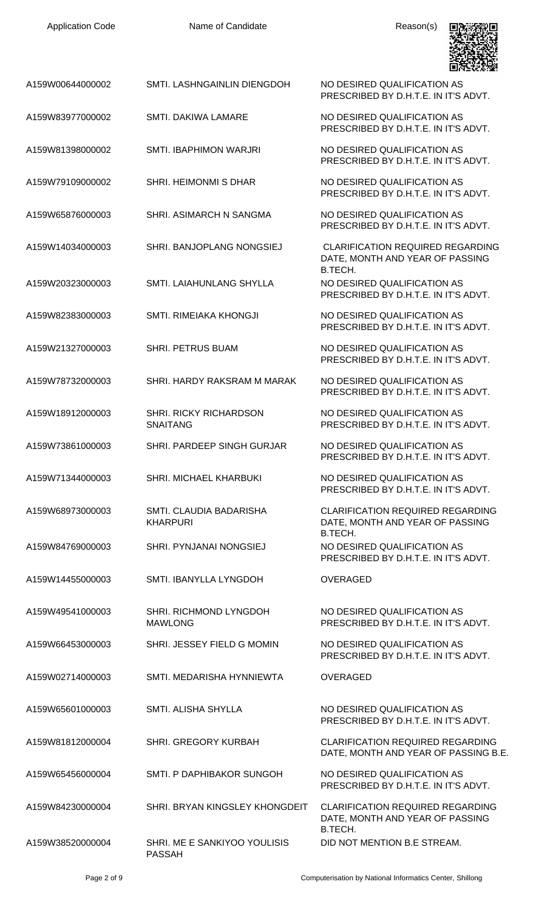

| A159W00644000002 | SMTI. LASHNGAINLIN DIENGDOH                   | NO DESIRED QUALIFICATION AS<br>PRESCRIBED BY D.H.T.E. IN IT'S ADVT.             |
|------------------|-----------------------------------------------|---------------------------------------------------------------------------------|
| A159W83977000002 | <b>SMTI. DAKIWA LAMARE</b>                    | NO DESIRED QUALIFICATION AS<br>PRESCRIBED BY D.H.T.E. IN IT'S ADVT.             |
| A159W81398000002 | <b>SMTI. IBAPHIMON WARJRI</b>                 | NO DESIRED QUALIFICATION AS<br>PRESCRIBED BY D.H.T.E. IN IT'S ADVT.             |
| A159W79109000002 | <b>SHRI. HEIMONMI S DHAR</b>                  | NO DESIRED QUALIFICATION AS<br>PRESCRIBED BY D.H.T.E. IN IT'S ADVT.             |
| A159W65876000003 | SHRI, ASIMARCH N SANGMA                       | NO DESIRED QUALIFICATION AS<br>PRESCRIBED BY D.H.T.E. IN IT'S ADVT.             |
| A159W14034000003 | SHRI. BANJOPLANG NONGSIEJ                     | <b>CLARIFICATION REQUIRED REGARDING</b><br>DATE, MONTH AND YEAR OF PASSING      |
| A159W20323000003 | SMTI. LAIAHUNLANG SHYLLA                      | B.TECH.<br>NO DESIRED QUALIFICATION AS<br>PRESCRIBED BY D.H.T.E. IN IT'S ADVT.  |
| A159W82383000003 | SMTI, RIMEIAKA KHONGJI                        | NO DESIRED QUALIFICATION AS<br>PRESCRIBED BY D.H.T.E. IN IT'S ADVT.             |
| A159W21327000003 | <b>SHRI. PETRUS BUAM</b>                      | NO DESIRED QUALIFICATION AS<br>PRESCRIBED BY D.H.T.E. IN IT'S ADVT.             |
| A159W78732000003 | SHRI. HARDY RAKSRAM M MARAK                   | NO DESIRED QUALIFICATION AS<br>PRESCRIBED BY D.H.T.E. IN IT'S ADVT.             |
| A159W18912000003 | SHRI. RICKY RICHARDSON<br><b>SNAITANG</b>     | NO DESIRED QUALIFICATION AS<br>PRESCRIBED BY D.H.T.E. IN IT'S ADVT.             |
| A159W73861000003 | SHRI. PARDEEP SINGH GURJAR                    | NO DESIRED QUALIFICATION AS<br>PRESCRIBED BY D.H.T.E. IN IT'S ADVT.             |
| A159W71344000003 | SHRI. MICHAEL KHARBUKI                        | NO DESIRED QUALIFICATION AS<br>PRESCRIBED BY D.H.T.E. IN IT'S ADVT.             |
| A159W68973000003 | SMTI. CLAUDIA BADARISHA<br><b>KHARPURI</b>    | <b>CLARIFICATION REQUIRED REGARDING</b><br>DATE, MONTH AND YEAR OF PASSING      |
| A159W84769000003 | SHRI. PYNJANAI NONGSIEJ                       | B.TECH.<br>NO DESIRED QUALIFICATION AS<br>PRESCRIBED BY D.H.T.E. IN IT'S ADVT.  |
| A159W14455000003 | <b>SMTI. IBANYLLA LYNGDOH</b>                 | <b>OVERAGED</b>                                                                 |
| A159W49541000003 | SHRI. RICHMOND LYNGDOH<br><b>MAWLONG</b>      | NO DESIRED QUALIFICATION AS<br>PRESCRIBED BY D.H.T.E. IN IT'S ADVT.             |
| A159W66453000003 | SHRI. JESSEY FIELD G MOMIN                    | NO DESIRED QUALIFICATION AS<br>PRESCRIBED BY D.H.T.E. IN IT'S ADVT.             |
| A159W02714000003 | SMTI, MEDARISHA HYNNIEWTA                     | <b>OVERAGED</b>                                                                 |
| A159W65601000003 | SMTI. ALISHA SHYLLA                           | NO DESIRED QUALIFICATION AS<br>PRESCRIBED BY D.H.T.E. IN IT'S ADVT.             |
| A159W81812000004 | SHRI. GREGORY KURBAH                          | <b>CLARIFICATION REQUIRED REGARDING</b><br>DATE, MONTH AND YEAR OF PASSING B.E. |
| A159W65456000004 | SMTI. P DAPHIBAKOR SUNGOH                     | NO DESIRED QUALIFICATION AS<br>PRESCRIBED BY D.H.T.E. IN IT'S ADVT.             |
| A159W84230000004 | SHRI. BRYAN KINGSLEY KHONGDEIT                | <b>CLARIFICATION REQUIRED REGARDING</b><br>DATE, MONTH AND YEAR OF PASSING      |
| A159W38520000004 | SHRI. ME E SANKIYOO YOULISIS<br><b>PASSAH</b> | B.TECH.<br>DID NOT MENTION B.E STREAM.                                          |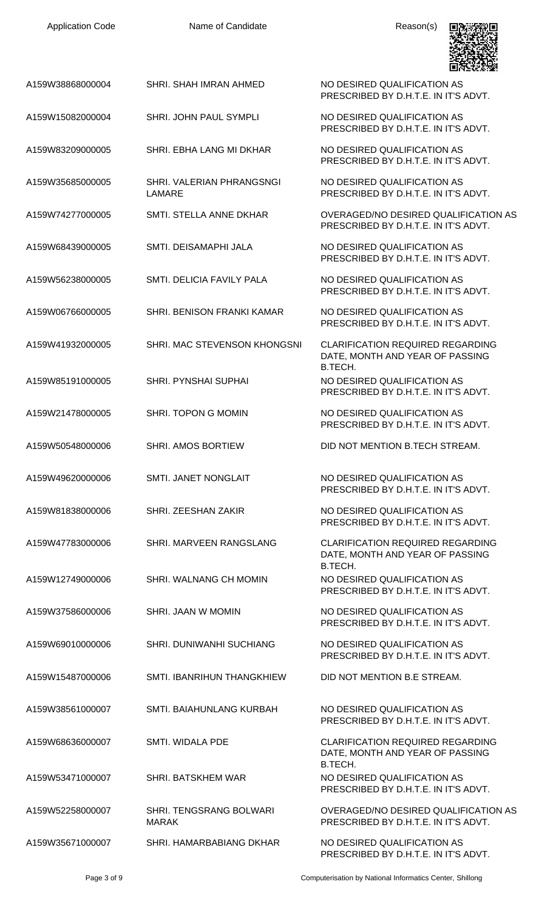| <b>Application Code</b> | Name of Candidate                              | Reason(s)                                                                             |
|-------------------------|------------------------------------------------|---------------------------------------------------------------------------------------|
| A159W38868000004        | SHRI. SHAH IMRAN AHMED                         | NO DESIRED QUALIFICATION AS<br>PRESCRIBED BY D.H.T.E. IN IT'S ADVT.                   |
| A159W15082000004        | SHRI. JOHN PAUL SYMPLI                         | NO DESIRED QUALIFICATION AS<br>PRESCRIBED BY D.H.T.E. IN IT'S ADVT.                   |
| A159W83209000005        | SHRI. EBHA LANG MI DKHAR                       | NO DESIRED QUALIFICATION AS<br>PRESCRIBED BY D.H.T.E. IN IT'S ADVT.                   |
| A159W35685000005        | SHRI. VALERIAN PHRANGSNGI<br>LAMARE            | NO DESIRED QUALIFICATION AS<br>PRESCRIBED BY D.H.T.E. IN IT'S ADVT.                   |
| A159W74277000005        | SMTI. STELLA ANNE DKHAR                        | OVERAGED/NO DESIRED QUALIFICATION AS<br>PRESCRIBED BY D.H.T.E. IN IT'S ADVT.          |
| A159W68439000005        | SMTI. DEISAMAPHI JALA                          | NO DESIRED QUALIFICATION AS<br>PRESCRIBED BY D.H.T.E. IN IT'S ADVT.                   |
| A159W56238000005        | SMTI. DELICIA FAVILY PALA                      | NO DESIRED QUALIFICATION AS<br>PRESCRIBED BY D.H.T.E. IN IT'S ADVT.                   |
| A159W06766000005        | SHRI. BENISON FRANKI KAMAR                     | NO DESIRED QUALIFICATION AS<br>PRESCRIBED BY D.H.T.E. IN IT'S ADVT.                   |
| A159W41932000005        | SHRI. MAC STEVENSON KHONGSNI                   | <b>CLARIFICATION REQUIRED REGARDING</b><br>DATE, MONTH AND YEAR OF PASSING<br>B.TECH. |
| A159W85191000005        | <b>SHRI. PYNSHAI SUPHAI</b>                    | NO DESIRED QUALIFICATION AS<br>PRESCRIBED BY D.H.T.E. IN IT'S ADVT.                   |
| A159W21478000005        | SHRI. TOPON G MOMIN                            | NO DESIRED QUALIFICATION AS<br>PRESCRIBED BY D.H.T.E. IN IT'S ADVT.                   |
| A159W50548000006        | <b>SHRI. AMOS BORTIEW</b>                      | DID NOT MENTION B.TECH STREAM.                                                        |
| A159W49620000006        | <b>SMTI. JANET NONGLAIT</b>                    | NO DESIRED QUALIFICATION AS<br>PRESCRIBED BY D.H.T.E. IN IT'S ADVT.                   |
| A159W81838000006        | SHRI. ZEESHAN ZAKIR                            | NO DESIRED QUALIFICATION AS<br>PRESCRIBED BY D.H.T.E. IN IT'S ADVT.                   |
| A159W47783000006        | SHRI. MARVEEN RANGSLANG                        | <b>CLARIFICATION REQUIRED REGARDING</b><br>DATE, MONTH AND YEAR OF PASSING<br>B.TECH. |
| A159W12749000006        | SHRI. WALNANG CH MOMIN                         | NO DESIRED QUALIFICATION AS<br>PRESCRIBED BY D.H.T.E. IN IT'S ADVT.                   |
| A159W37586000006        | SHRI. JAAN W MOMIN                             | NO DESIRED QUALIFICATION AS<br>PRESCRIBED BY D.H.T.E. IN IT'S ADVT.                   |
| A159W69010000006        | <b>SHRI. DUNIWANHI SUCHIANG</b>                | NO DESIRED QUALIFICATION AS<br>PRESCRIBED BY D.H.T.E. IN IT'S ADVT.                   |
| A159W15487000006        | SMTI. IBANRIHUN THANGKHIEW                     | DID NOT MENTION B.E STREAM.                                                           |
| A159W38561000007        | SMTI. BAIAHUNLANG KURBAH                       | NO DESIRED QUALIFICATION AS<br>PRESCRIBED BY D.H.T.E. IN IT'S ADVT.                   |
| A159W68636000007        | SMTI, WIDALA PDE                               | <b>CLARIFICATION REQUIRED REGARDING</b><br>DATE, MONTH AND YEAR OF PASSING<br>B.TECH. |
| A159W53471000007        | <b>SHRI. BATSKHEM WAR</b>                      | NO DESIRED QUALIFICATION AS<br>PRESCRIBED BY D.H.T.E. IN IT'S ADVT.                   |
| A159W52258000007        | <b>SHRI. TENGSRANG BOLWARI</b><br><b>MARAK</b> | OVERAGED/NO DESIRED QUALIFICATION AS<br>PRESCRIBED BY D.H.T.E. IN IT'S ADVT.          |
| A159W35671000007        | SHRI. HAMARBABIANG DKHAR                       | NO DESIRED QUALIFICATION AS<br>PRESCRIBED BY D.H.T.E. IN IT'S ADVT.                   |

Page 3 of 9 Computerisation by National Informatics Center, Shillong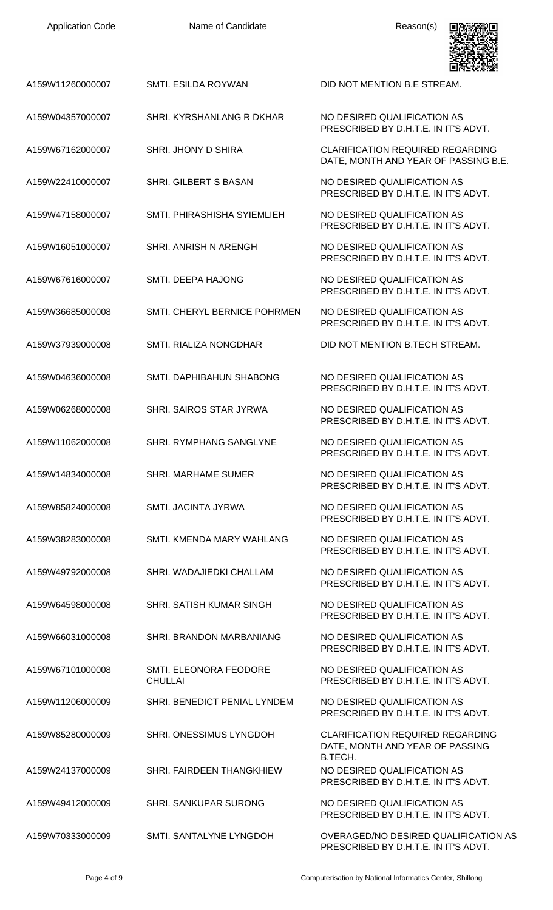| <b>Application Code</b> | Name of Candidate                        | Reason(s)                                                                       |
|-------------------------|------------------------------------------|---------------------------------------------------------------------------------|
| A159W11260000007        | SMTI. ESILDA ROYWAN                      | DID NOT MENTION B.E STREAM.                                                     |
| A159W04357000007        | SHRI, KYRSHANLANG R DKHAR                | NO DESIRED QUALIFICATION AS<br>PRESCRIBED BY D.H.T.E. IN IT'S ADVT.             |
| A159W67162000007        | SHRI. JHONY D SHIRA                      | <b>CLARIFICATION REQUIRED REGARDING</b><br>DATE, MONTH AND YEAR OF PASSING B.E. |
| A159W22410000007        | SHRI. GILBERT S BASAN                    | NO DESIRED QUALIFICATION AS<br>PRESCRIBED BY D.H.T.E. IN IT'S ADVT.             |
| A159W47158000007        | SMTI. PHIRASHISHA SYIEMLIEH              | NO DESIRED QUALIFICATION AS<br>PRESCRIBED BY D.H.T.E. IN IT'S ADVT.             |
| A159W16051000007        | SHRI. ANRISH N ARENGH                    | NO DESIRED QUALIFICATION AS<br>PRESCRIBED BY D.H.T.E. IN IT'S ADVT.             |
| A159W67616000007        | SMTI. DEEPA HAJONG                       | NO DESIRED QUALIFICATION AS<br>PRESCRIBED BY D.H.T.E. IN IT'S ADVT.             |
| A159W36685000008        | SMTI. CHERYL BERNICE POHRMEN             | NO DESIRED QUALIFICATION AS<br>PRESCRIBED BY D.H.T.E. IN IT'S ADVT.             |
| A159W37939000008        | SMTI. RIALIZA NONGDHAR                   | DID NOT MENTION B.TECH STREAM.                                                  |
| A159W04636000008        | SMTI. DAPHIBAHUN SHABONG                 | NO DESIRED QUALIFICATION AS<br>PRESCRIBED BY D.H.T.E. IN IT'S ADVT.             |
| A159W06268000008        | SHRI. SAIROS STAR JYRWA                  | NO DESIRED QUALIFICATION AS<br>PRESCRIBED BY D.H.T.E. IN IT'S ADVT.             |
| A159W11062000008        | SHRI. RYMPHANG SANGLYNE                  | NO DESIRED QUALIFICATION AS<br>PRESCRIBED BY D.H.T.E. IN IT'S ADVT.             |
| A159W14834000008        | <b>SHRI. MARHAME SUMER</b>               | NO DESIRED QUALIFICATION AS<br>PRESCRIBED BY D.H.T.E. IN IT'S ADVT.             |
| A159W85824000008        | SMTI. JACINTA JYRWA                      | NO DESIRED QUALIFICATION AS<br>PRESCRIBED BY D.H.T.E. IN IT'S ADVT.             |
| A159W38283000008        | SMTI. KMENDA MARY WAHLANG                | NO DESIRED QUALIFICATION AS<br>PRESCRIBED BY D.H.T.E. IN IT'S ADVT.             |
| A159W49792000008        | SHRI. WADAJIEDKI CHALLAM                 | NO DESIRED QUALIFICATION AS<br>PRESCRIBED BY D.H.T.E. IN IT'S ADVT.             |
| A159W64598000008        | SHRI. SATISH KUMAR SINGH                 | NO DESIRED QUALIFICATION AS<br>PRESCRIBED BY D.H.T.E. IN IT'S ADVT.             |
| A159W66031000008        | SHRI. BRANDON MARBANIANG                 | NO DESIRED QUALIFICATION AS<br>PRESCRIBED BY D.H.T.E. IN IT'S ADVT.             |
| A159W67101000008        | SMTI. ELEONORA FEODORE<br><b>CHULLAI</b> | NO DESIRED QUALIFICATION AS<br>PRESCRIBED BY D.H.T.E. IN IT'S ADVT.             |
| A159W11206000009        | SHRI. BENEDICT PENIAL LYNDEM             | NO DESIRED QUALIFICATION AS<br>PRESCRIBED BY D.H.T.E. IN IT'S ADVT.             |
| A159W85280000009        | SHRI. ONESSIMUS LYNGDOH                  | <b>CLARIFICATION REQUIRED REGARDING</b><br>DATE, MONTH AND YEAR OF PASSING      |
| A159W24137000009        | <b>SHRI. FAIRDEEN THANGKHIEW</b>         | B.TECH.<br>NO DESIRED QUALIFICATION AS<br>PRESCRIBED BY D.H.T.E. IN IT'S ADVT.  |
| A159W49412000009        | <b>SHRI. SANKUPAR SURONG</b>             | NO DESIRED QUALIFICATION AS<br>PRESCRIBED BY D.H.T.E. IN IT'S ADVT.             |
| A159W70333000009        | SMTI. SANTALYNE LYNGDOH                  | OVERAGED/NO DESIRED QUALIFICATION AS                                            |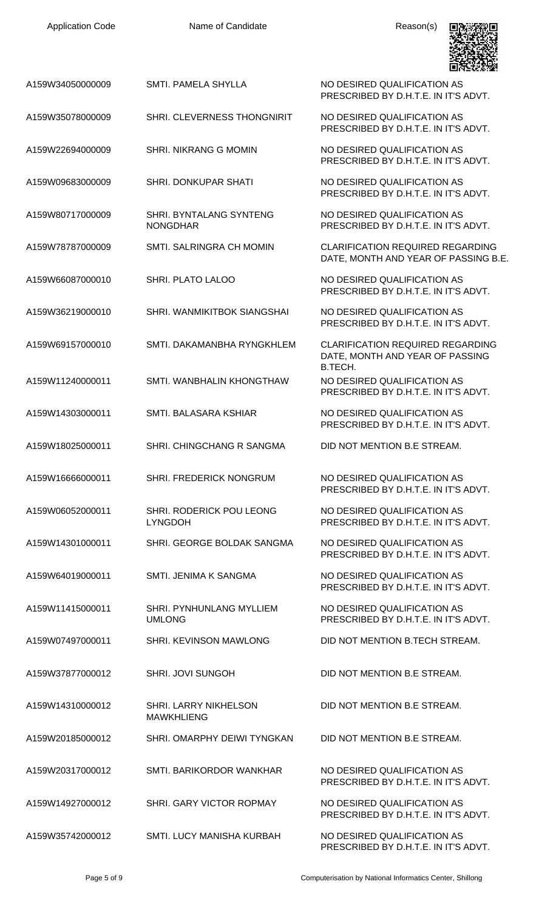| <b>Application Code</b> | Name of Candidate                          | Reason(s)                                                                       |
|-------------------------|--------------------------------------------|---------------------------------------------------------------------------------|
| A159W34050000009        | SMTI. PAMELA SHYLLA                        | NO DESIRED QUALIFICATION AS<br>PRESCRIBED BY D.H.T.E. IN IT'S ADVT.             |
| A159W35078000009        | SHRI. CLEVERNESS THONGNIRIT                | NO DESIRED QUALIFICATION AS<br>PRESCRIBED BY D.H.T.E. IN IT'S ADVT.             |
| A159W22694000009        | SHRI. NIKRANG G MOMIN                      | NO DESIRED QUALIFICATION AS<br>PRESCRIBED BY D.H.T.E. IN IT'S ADVT.             |
| A159W09683000009        | SHRI. DONKUPAR SHATI                       | NO DESIRED QUALIFICATION AS<br>PRESCRIBED BY D.H.T.E. IN IT'S ADVT.             |
| A159W80717000009        | SHRI. BYNTALANG SYNTENG<br><b>NONGDHAR</b> | NO DESIRED QUALIFICATION AS<br>PRESCRIBED BY D.H.T.E. IN IT'S ADVT.             |
| A159W78787000009        | SMTI. SALRINGRA CH MOMIN                   | <b>CLARIFICATION REQUIRED REGARDING</b><br>DATE, MONTH AND YEAR OF PASSING B.E. |
| A159W66087000010        | SHRI. PLATO LALOO                          | NO DESIRED QUALIFICATION AS<br>PRESCRIBED BY D.H.T.E. IN IT'S ADVT.             |
| A159W36219000010        | SHRI. WANMIKITBOK SIANGSHAI                | NO DESIRED QUALIFICATION AS<br>PRESCRIBED BY D.H.T.E. IN IT'S ADVT.             |
| A159W69157000010        | SMTI. DAKAMANBHA RYNGKHLEM                 | <b>CLARIFICATION REQUIRED REGARDING</b><br>DATE, MONTH AND YEAR OF PASSING      |
| A159W11240000011        | SMTI. WANBHALIN KHONGTHAW                  | B.TECH.<br>NO DESIRED QUALIFICATION AS<br>PRESCRIBED BY D.H.T.E. IN IT'S ADVT.  |
| A159W14303000011        | SMTI. BALASARA KSHIAR                      | NO DESIRED QUALIFICATION AS<br>PRESCRIBED BY D.H.T.E. IN IT'S ADVT.             |
| A159W18025000011        | SHRI. CHINGCHANG R SANGMA                  | DID NOT MENTION B.E STREAM.                                                     |
| A159W16666000011        | SHRI. FREDERICK NONGRUM                    | NO DESIRED QUALIFICATION AS<br>PRESCRIBED BY D.H.T.E. IN IT'S ADVT.             |
| A159W06052000011        | SHRI. RODERICK POU LEONG<br><b>LYNGDOH</b> | NO DESIRED QUALIFICATION AS<br>PRESCRIBED BY D.H.T.E. IN IT'S ADVT.             |
| A159W14301000011        | SHRI. GEORGE BOLDAK SANGMA                 | NO DESIRED QUALIFICATION AS<br>PRESCRIBED BY D.H.T.E. IN IT'S ADVT.             |
| A159W64019000011        | SMTI. JENIMA K SANGMA                      | NO DESIRED QUALIFICATION AS<br>PRESCRIBED BY D.H.T.E. IN IT'S ADVT.             |
| A159W11415000011        | SHRI. PYNHUNLANG MYLLIEM<br><b>UMLONG</b>  | NO DESIRED QUALIFICATION AS<br>PRESCRIBED BY D.H.T.E. IN IT'S ADVT.             |
| A159W07497000011        | SHRI. KEVINSON MAWLONG                     | DID NOT MENTION B.TECH STREAM.                                                  |
| A159W37877000012        | SHRI. JOVI SUNGOH                          | DID NOT MENTION B.E STREAM.                                                     |
| A159W14310000012        | SHRI. LARRY NIKHELSON<br><b>MAWKHLIENG</b> | DID NOT MENTION B.E STREAM.                                                     |
| A159W20185000012        | SHRI. OMARPHY DEIWI TYNGKAN                | DID NOT MENTION B.E STREAM.                                                     |
| A159W20317000012        | SMTI. BARIKORDOR WANKHAR                   | NO DESIRED QUALIFICATION AS<br>PRESCRIBED BY D.H.T.E. IN IT'S ADVT.             |
| A159W14927000012        | SHRI. GARY VICTOR ROPMAY                   | NO DESIRED QUALIFICATION AS<br>PRESCRIBED BY D.H.T.E. IN IT'S ADVT.             |
| A159W35742000012        | SMTI. LUCY MANISHA KURBAH                  | NO DESIRED QUALIFICATION AS                                                     |

Application Code **Name of Candidate Name of Candidate Reason(s)** 

Page 5 of 9 Computerisation by National Informatics Center, Shillong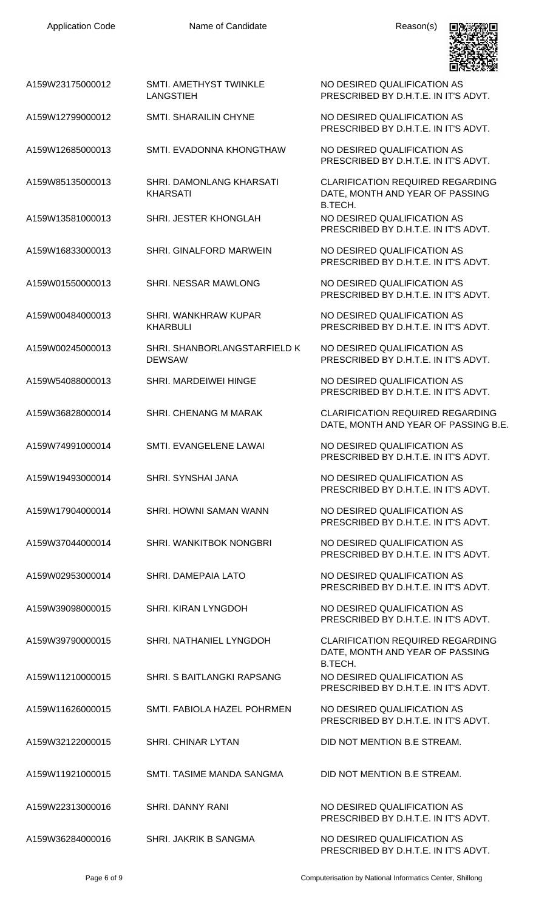A159W23175000012 SMTI. AMETHYST TWINKLE

LANGSTIEH

NO DESIRED QUALIFICATION AS PRESCRIBED BY D.H.T.E. IN IT'S ADVT.



| A159W12799000012 | <b>SMTI. SHARAILIN CHYNE</b>                  | NO DESIRED QUALIFICATION AS<br>PRESCRIBED BY D.H.T.E. IN IT'S ADVT.                   |
|------------------|-----------------------------------------------|---------------------------------------------------------------------------------------|
| A159W12685000013 | SMTI. EVADONNA KHONGTHAW                      | NO DESIRED QUALIFICATION AS<br>PRESCRIBED BY D.H.T.E. IN IT'S ADVT.                   |
| A159W85135000013 | SHRI. DAMONLANG KHARSATI<br><b>KHARSATI</b>   | <b>CLARIFICATION REQUIRED REGARDING</b><br>DATE, MONTH AND YEAR OF PASSING<br>B.TECH. |
| A159W13581000013 | SHRI. JESTER KHONGLAH                         | NO DESIRED QUALIFICATION AS<br>PRESCRIBED BY D.H.T.E. IN IT'S ADVT.                   |
| A159W16833000013 | SHRI. GINALFORD MARWEIN                       | NO DESIRED QUALIFICATION AS<br>PRESCRIBED BY D.H.T.E. IN IT'S ADVT.                   |
| A159W01550000013 | SHRI. NESSAR MAWLONG                          | NO DESIRED QUALIFICATION AS<br>PRESCRIBED BY D.H.T.E. IN IT'S ADVT.                   |
| A159W00484000013 | SHRI. WANKHRAW KUPAR<br><b>KHARBULI</b>       | NO DESIRED QUALIFICATION AS<br>PRESCRIBED BY D.H.T.E. IN IT'S ADVT.                   |
| A159W00245000013 | SHRI. SHANBORLANGSTARFIELD K<br><b>DEWSAW</b> | NO DESIRED QUALIFICATION AS<br>PRESCRIBED BY D.H.T.E. IN IT'S ADVT.                   |
| A159W54088000013 | <b>SHRI. MARDEIWEI HINGE</b>                  | NO DESIRED QUALIFICATION AS<br>PRESCRIBED BY D.H.T.E. IN IT'S ADVT.                   |
| A159W36828000014 | SHRI. CHENANG M MARAK                         | <b>CLARIFICATION REQUIRED REGARDING</b><br>DATE, MONTH AND YEAR OF PASSING B.E.       |
| A159W74991000014 | SMTI. EVANGELENE LAWAI                        | NO DESIRED QUALIFICATION AS<br>PRESCRIBED BY D.H.T.E. IN IT'S ADVT.                   |
| A159W19493000014 | <b>SHRI. SYNSHAI JANA</b>                     | NO DESIRED QUALIFICATION AS<br>PRESCRIBED BY D.H.T.E. IN IT'S ADVT.                   |
| A159W17904000014 | SHRI. HOWNI SAMAN WANN                        | NO DESIRED QUALIFICATION AS<br>PRESCRIBED BY D.H.T.E. IN IT'S ADVT.                   |
| A159W37044000014 | SHRI. WANKITBOK NONGBRI                       | NO DESIRED QUALIFICATION AS<br>PRESCRIBED BY D.H.T.E. IN IT'S ADVT.                   |
| A159W02953000014 | SHRI. DAMEPAIA LATO                           | NO DESIRED QUALIFICATION AS<br>PRESCRIBED BY D.H.T.E. IN IT'S ADVT.                   |
| A159W39098000015 | SHRI. KIRAN LYNGDOH                           | NO DESIRED QUALIFICATION AS<br>PRESCRIBED BY D.H.T.E. IN IT'S ADVT.                   |
| A159W39790000015 | SHRI. NATHANIEL LYNGDOH                       | <b>CLARIFICATION REQUIRED REGARDING</b><br>DATE, MONTH AND YEAR OF PASSING<br>B.TECH. |
| A159W11210000015 | SHRI. S BAITLANGKI RAPSANG                    | NO DESIRED QUALIFICATION AS<br>PRESCRIBED BY D.H.T.E. IN IT'S ADVT.                   |
| A159W11626000015 | SMTI, FABIOLA HAZEL POHRMEN                   | NO DESIRED QUALIFICATION AS<br>PRESCRIBED BY D.H.T.E. IN IT'S ADVT.                   |
| A159W32122000015 | <b>SHRI. CHINAR LYTAN</b>                     | DID NOT MENTION B.E STREAM.                                                           |
| A159W11921000015 | SMTI. TASIME MANDA SANGMA                     | DID NOT MENTION B.E STREAM.                                                           |
| A159W22313000016 | <b>SHRI, DANNY RANI</b>                       | NO DESIRED QUALIFICATION AS<br>PRESCRIBED BY D.H.T.E. IN IT'S ADVT.                   |
| A159W36284000016 | SHRI. JAKRIK B SANGMA                         | NO DESIRED QUALIFICATION AS                                                           |

Page 6 of 9 Computerisation by National Informatics Center, Shillong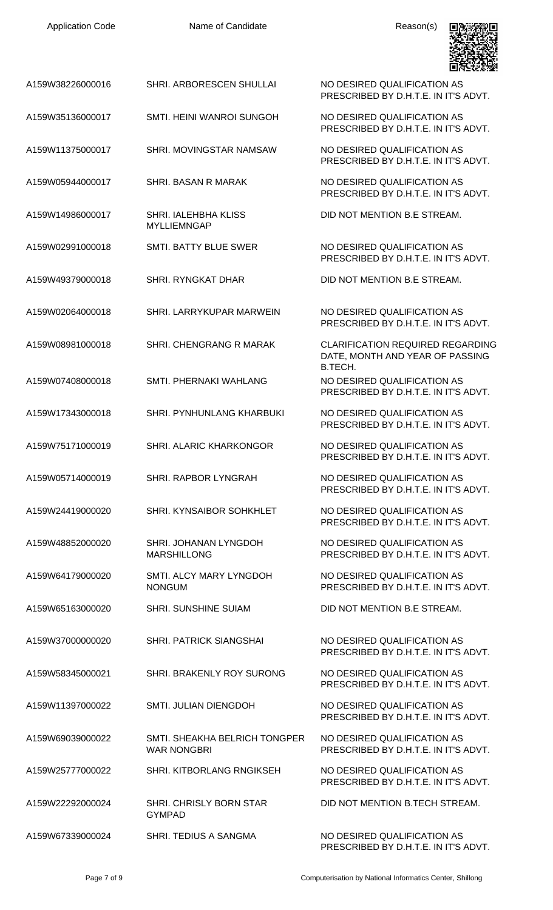

A159W38226000016 SHRI. ARBORESCEN SHULLAI NO DESIRED QUALIFICATION AS

- A159W35136000017 SMTI. HEINI WANROI SUNGOH NO DESIRED QUALIFICATION AS
- A159W11375000017 SHRI. MOVINGSTAR NAMSAW NO DESIRED QUALIFICATION AS
- A159W05944000017 SHRI. BASAN R MARAK NO DESIRED QUALIFICATION AS

A159W14986000017 SHRI. IALEHBHA KLISS MYLLIEMNGAP

- A159W02991000018 SMTI. BATTY BLUE SWER NO DESIRED QUALIFICATION AS
- A159W49379000018 SHRI. RYNGKAT DHAR DID NOT MENTION B.E STREAM.
- A159W02064000018 SHRI. LARRYKUPAR MARWEIN NO DESIRED QUALIFICATION AS
- A159W08981000018 SHRI. CHENGRANG R MARAK CLARIFICATION REQUIRED REGARDING
- A159W07408000018 SMTI. PHERNAKI WAHLANG NO DESIRED QUALIFICATION AS
- A159W17343000018 SHRI. PYNHUNLANG KHARBUKI NO DESIRED QUALIFICATION AS
- A159W75171000019 SHRI. ALARIC KHARKONGOR NO DESIRED QUALIFICATION AS
- A159W05714000019 SHRI. RAPBOR LYNGRAH NO DESIRED QUALIFICATION AS
- A159W24419000020 SHRI. KYNSAIBOR SOHKHLET NO DESIRED QUALIFICATION AS
- A159W48852000020 SHRI. JOHANAN LYNGDOH MARSHILLONG
- A159W64179000020 SMTI. ALCY MARY LYNGDOH NONGUM
- A159W65163000020 SHRI. SUNSHINE SUIAM DID NOT MENTION B.E STREAM.
- A159W37000000020 SHRI. PATRICK SIANGSHAI NO DESIRED QUALIFICATION AS
- A159W58345000021 SHRI. BRAKENLY ROY SURONG NO DESIRED QUALIFICATION AS
- A159W11397000022 SMTI. JULIAN DIENGDOH NO DESIRED QUALIFICATION AS
- A159W69039000022 SMTI. SHEAKHA BELRICH TONGPER WAR NONGBRI
- A159W25777000022 SHRI. KITBORLANG RNGIKSEH NO DESIRED QUALIFICATION AS
- A159W22292000024 SHRI. CHRISLY BORN STAR GYMPAD
- A159W67339000024 SHRI. TEDIUS A SANGMA NO DESIRED QUALIFICATION AS

PRESCRIBED BY D.H.T.E. IN IT'S ADVT.

PRESCRIBED BY D.H.T.E. IN IT'S ADVT.

PRESCRIBED BY D.H.T.E. IN IT'S ADVT.

PRESCRIBED BY D.H.T.E. IN IT'S ADVT.

DID NOT MENTION B.E STREAM.

PRESCRIBED BY D.H.T.E. IN IT'S ADVT.

PRESCRIBED BY D.H.T.E. IN IT'S ADVT.

DATE, MONTH AND YEAR OF PASSING B.TECH. PRESCRIBED BY D.H.T.E. IN IT'S ADVT.

PRESCRIBED BY D.H.T.E. IN IT'S ADVT.

PRESCRIBED BY D.H.T.E. IN IT'S ADVT.

PRESCRIBED BY D.H.T.E. IN IT'S ADVT.

PRESCRIBED BY D.H.T.E. IN IT'S ADVT.

NO DESIRED QUALIFICATION AS PRESCRIBED BY D.H.T.E. IN IT'S ADVT.

NO DESIRED QUALIFICATION AS PRESCRIBED BY D.H.T.E. IN IT'S ADVT.

PRESCRIBED BY D.H.T.E. IN IT'S ADVT.

PRESCRIBED BY D.H.T.E. IN IT'S ADVT.

PRESCRIBED BY D.H.T.E. IN IT'S ADVT.

NO DESIRED QUALIFICATION AS PRESCRIBED BY D.H.T.E. IN IT'S ADVT.

PRESCRIBED BY D.H.T.E. IN IT'S ADVT.

DID NOT MENTION B.TECH STREAM.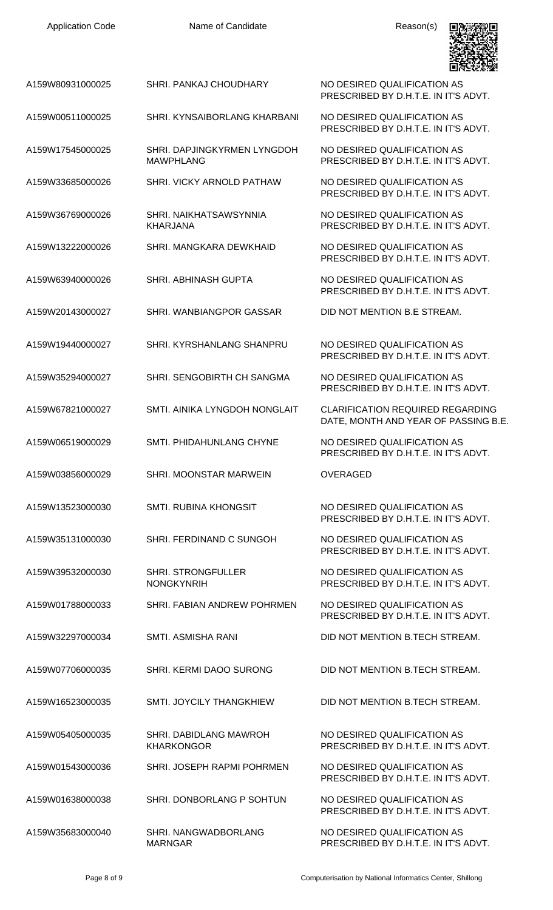| A159W80931000025 | SHRI. PANKAJ CHOUDHARY                          | NO DESIRED QUALIFICATION AS<br>PRESCRIBED BY D.H.T.E. IN IT'S ADVT.             |
|------------------|-------------------------------------------------|---------------------------------------------------------------------------------|
| A159W00511000025 | SHRI. KYNSAIBORLANG KHARBANI                    | NO DESIRED QUALIFICATION AS<br>PRESCRIBED BY D.H.T.E. IN IT'S ADVT.             |
| A159W17545000025 | SHRI. DAPJINGKYRMEN LYNGDOH<br><b>MAWPHLANG</b> | NO DESIRED QUALIFICATION AS<br>PRESCRIBED BY D.H.T.E. IN IT'S ADVT.             |
| A159W33685000026 | SHRI. VICKY ARNOLD PATHAW                       | NO DESIRED QUALIFICATION AS<br>PRESCRIBED BY D.H.T.E. IN IT'S ADVT.             |
| A159W36769000026 | SHRI, NAIKHATSAWSYNNIA<br><b>KHARJANA</b>       | NO DESIRED QUALIFICATION AS<br>PRESCRIBED BY D.H.T.E. IN IT'S ADVT.             |
| A159W13222000026 | SHRI, MANGKARA DEWKHAID                         | NO DESIRED QUALIFICATION AS<br>PRESCRIBED BY D.H.T.E. IN IT'S ADVT.             |
| A159W63940000026 | <b>SHRI. ABHINASH GUPTA</b>                     | NO DESIRED QUALIFICATION AS<br>PRESCRIBED BY D.H.T.E. IN IT'S ADVT.             |
| A159W20143000027 | SHRI. WANBIANGPOR GASSAR                        | DID NOT MENTION B.E STREAM.                                                     |
| A159W19440000027 | SHRI. KYRSHANLANG SHANPRU                       | NO DESIRED QUALIFICATION AS<br>PRESCRIBED BY D.H.T.E. IN IT'S ADVT.             |
| A159W35294000027 | SHRI. SENGOBIRTH CH SANGMA                      | NO DESIRED QUALIFICATION AS<br>PRESCRIBED BY D.H.T.E. IN IT'S ADVT.             |
| A159W67821000027 | SMTI. AINIKA LYNGDOH NONGLAIT                   | <b>CLARIFICATION REQUIRED REGARDING</b><br>DATE, MONTH AND YEAR OF PASSING B.E. |
| A159W06519000029 | <b>SMTI. PHIDAHUNLANG CHYNE</b>                 | NO DESIRED QUALIFICATION AS<br>PRESCRIBED BY D.H.T.E. IN IT'S ADVT.             |
| A159W03856000029 | SHRI. MOONSTAR MARWEIN                          | <b>OVERAGED</b>                                                                 |
| A159W13523000030 | <b>SMTI. RUBINA KHONGSIT</b>                    | NO DESIRED QUALIFICATION AS<br>PRESCRIBED BY D.H.T.E. IN IT'S ADVT.             |
| A159W35131000030 | SHRI. FERDINAND C SUNGOH                        | NO DESIRED QUALIFICATION AS<br>PRESCRIBED BY D.H.T.E. IN IT'S ADVT.             |
| A159W39532000030 | <b>SHRI. STRONGFULLER</b><br><b>NONGKYNRIH</b>  | NO DESIRED QUALIFICATION AS<br>PRESCRIBED BY D.H.T.E. IN IT'S ADVT.             |
| A159W01788000033 | SHRI. FABIAN ANDREW POHRMEN                     | NO DESIRED QUALIFICATION AS<br>PRESCRIBED BY D.H.T.E. IN IT'S ADVT.             |
| A159W32297000034 | <b>SMTI. ASMISHA RANI</b>                       | DID NOT MENTION B.TECH STREAM.                                                  |
| A159W07706000035 | SHRI. KERMI DAOO SURONG                         | DID NOT MENTION B.TECH STREAM.                                                  |
| A159W16523000035 | <b>SMTI. JOYCILY THANGKHIEW</b>                 | DID NOT MENTION B.TECH STREAM.                                                  |
| A159W05405000035 | SHRI. DABIDLANG MAWROH<br><b>KHARKONGOR</b>     | NO DESIRED QUALIFICATION AS<br>PRESCRIBED BY D.H.T.E. IN IT'S ADVT.             |
| A159W01543000036 | SHRI. JOSEPH RAPMI POHRMEN                      | NO DESIRED QUALIFICATION AS<br>PRESCRIBED BY D.H.T.E. IN IT'S ADVT.             |
| A159W01638000038 | SHRI. DONBORLANG P SOHTUN                       | NO DESIRED QUALIFICATION AS<br>PRESCRIBED BY D.H.T.E. IN IT'S ADVT.             |
| A159W35683000040 | SHRI. NANGWADBORLANG<br><b>MARNGAR</b>          | NO DESIRED QUALIFICATION AS<br>PRESCRIBED BY D.H.T.E. IN IT'S ADVT.             |

Application Code **Name of Candidate Name of Candidate** Reason(s)

回